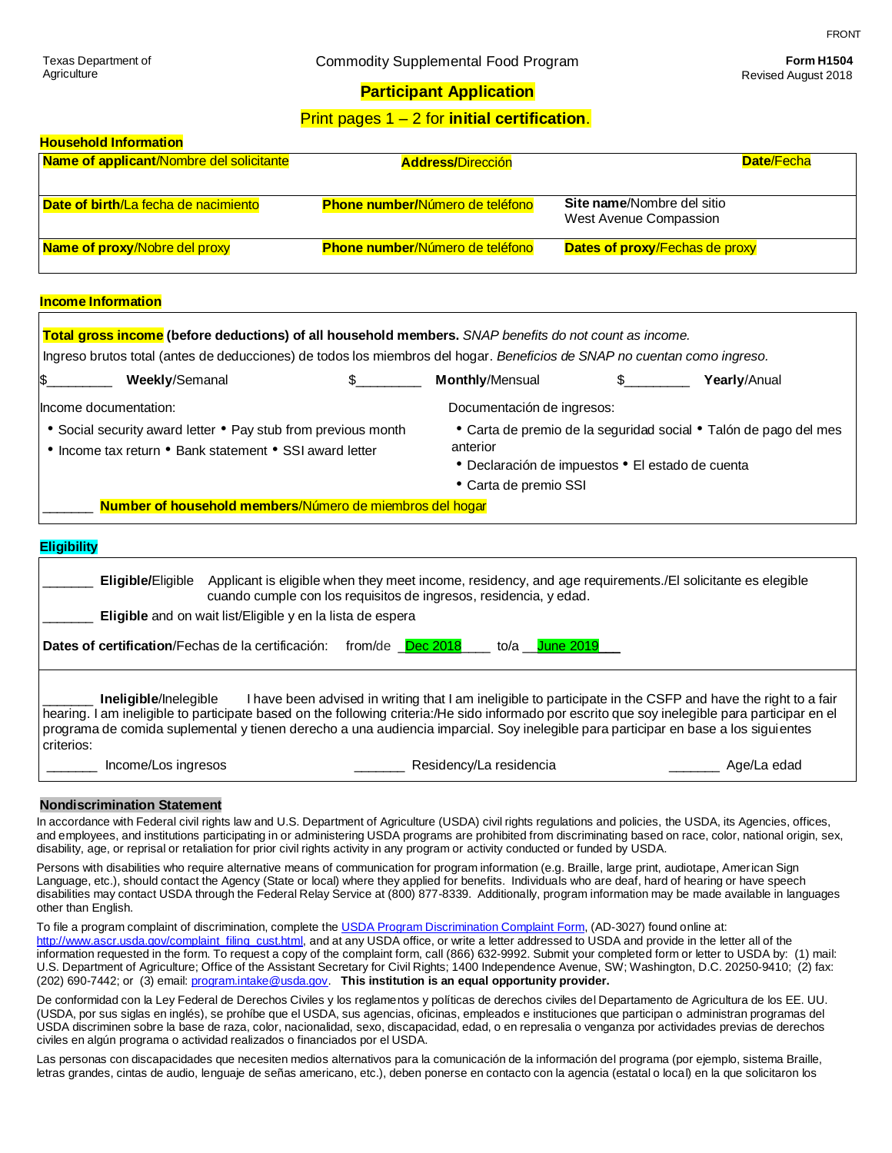# Revised August 2018

### **Participant Application**

## Print pages 1 – 2 for **initial certification**.

| <b>Household Information</b>             |                                        |                                       |
|------------------------------------------|----------------------------------------|---------------------------------------|
| Name of applicant/Nombre del solicitante | <b>Address/Dirección</b>               | <b>Date/Fecha</b>                     |
|                                          |                                        |                                       |
| Date of birth/La fecha de nacimiento     | <b>Phone number/Número de teléfono</b> | Site name/Nombre del sitio            |
|                                          |                                        | West Avenue Compassion                |
| <b>Name of proxy/Nobre del proxy</b>     | <b>Phone number/Número de teléfono</b> | <b>Dates of proxy/Fechas de proxy</b> |
|                                          |                                        |                                       |

#### **Income Information**

|                                                                                                                          |                                                    |                                                                                                                          | Total gross income (before deductions) of all household members. SNAP benefits do not count as income.                                                                                           |  |                                                                                                                                                                                                                                                                |  |  |
|--------------------------------------------------------------------------------------------------------------------------|----------------------------------------------------|--------------------------------------------------------------------------------------------------------------------------|--------------------------------------------------------------------------------------------------------------------------------------------------------------------------------------------------|--|----------------------------------------------------------------------------------------------------------------------------------------------------------------------------------------------------------------------------------------------------------------|--|--|
| Ingreso brutos total (antes de deducciones) de todos los miembros del hogar. Beneficios de SNAP no cuentan como ingreso. |                                                    |                                                                                                                          |                                                                                                                                                                                                  |  |                                                                                                                                                                                                                                                                |  |  |
| S                                                                                                                        | <b>Weekly/Semanal</b>                              |                                                                                                                          | <b>Monthly/Mensual</b>                                                                                                                                                                           |  | Yearly/Anual                                                                                                                                                                                                                                                   |  |  |
| Income documentation:                                                                                                    |                                                    |                                                                                                                          | Documentación de ingresos:                                                                                                                                                                       |  |                                                                                                                                                                                                                                                                |  |  |
|                                                                                                                          |                                                    | • Social security award letter • Pay stub from previous month<br>• Income tax return • Bank statement • SSI award letter | anterior<br>• Declaración de impuestos • El estado de cuenta<br>• Carta de premio SSI                                                                                                            |  | • Carta de premio de la seguridad social • Talón de pago del mes                                                                                                                                                                                               |  |  |
|                                                                                                                          |                                                    | Number of household members/Número de miembros del hogar                                                                 |                                                                                                                                                                                                  |  |                                                                                                                                                                                                                                                                |  |  |
| <b>Eligibility</b>                                                                                                       |                                                    | Eligible and on wait list/Eligible y en la lista de espera                                                               | Eligible/Eligible Applicant is eligible when they meet income, residency, and age requirements. /El solicitante es elegible<br>cuando cumple con los requisitos de ingresos, residencia, y edad. |  |                                                                                                                                                                                                                                                                |  |  |
|                                                                                                                          | Dates of certification/Fechas de la certificación: | from/de Dec 2018                                                                                                         | to/a __ June 2019                                                                                                                                                                                |  |                                                                                                                                                                                                                                                                |  |  |
| criterios:                                                                                                               | Ineligible/Inelegible                              |                                                                                                                          | programa de comida suplemental y tienen derecho a una audiencia imparcial. Soy inelegible para participar en base a los siguientes                                                               |  | I have been advised in writing that I am ineligible to participate in the CSFP and have the right to a fair<br>hearing. I am ineligible to participate based on the following criteria:/He sido informado por escrito que soy inelegible para participar en el |  |  |
|                                                                                                                          | Income/Los ingresos                                |                                                                                                                          | Residency/La residencia                                                                                                                                                                          |  | Age/La edad                                                                                                                                                                                                                                                    |  |  |
|                                                                                                                          |                                                    |                                                                                                                          |                                                                                                                                                                                                  |  |                                                                                                                                                                                                                                                                |  |  |

#### **Nondiscrimination Statement**

In accordance with Federal civil rights law and U.S. Department of Agriculture (USDA) civil rights regulations and policies, the USDA, its Agencies, offices, and employees, and institutions participating in or administering USDA programs are prohibited from discriminating based on race, color, national origin, sex, disability, age, or reprisal or retaliation for prior civil rights activity in any program or activity conducted or funded by USDA.

Persons with disabilities who require alternative means of communication for program information (e.g. Braille, large print, audiotape, American Sign Language, etc.), should contact the Agency (State or local) where they applied for benefits. Individuals who are deaf, hard of hearing or have speech disabilities may contact USDA through the Federal Relay Service at (800) 877-8339. Additionally, program information may be made available in languages other than English.

To file a program complaint of discrimination, complete th[e USDA Program Discrimination Complaint Form,](http://www.ocio.usda.gov/sites/default/files/docs/2012/Complain_combined_6_8_12.pdf) (AD-3027) found online at: [http://www.ascr.usda.gov/complaint\\_filing\\_cust.html,](http://www.ascr.usda.gov/complaint_filing_cust.html) and at any USDA office, or write a letter addressed to USDA and provide in the letter all of the information requested in the form. To request a copy of the complaint form, call (866) 632-9992. Submit your completed form or letter to USDA by: (1) mail: U.S. Department of Agriculture; Office of the Assistant Secretary for Civil Rights; 1400 Independence Avenue, SW; Washington, D.C. 20250-9410; (2) fax: (202) 690-7442; or (3) email: [program.intake@usda.gov.](mailto:program.intake@usda.gov) **This institution is an equal opportunity provider.**

De conformidad con la Ley Federal de Derechos Civiles y los reglamentos y políticas de derechos civiles del Departamento de Agricultura de los EE. UU. (USDA, por sus siglas en inglés), se prohíbe que el USDA, sus agencias, oficinas, empleados e instituciones que participan o administran programas del USDA discriminen sobre la base de raza, color, nacionalidad, sexo, discapacidad, edad, o en represalia o venganza por actividades previas de derechos civiles en algún programa o actividad realizados o financiados por el USDA.

Las personas con discapacidades que necesiten medios alternativos para la comunicación de la información del programa (por ejemplo, sistema Braille, letras grandes, cintas de audio, lenguaje de señas americano, etc.), deben ponerse en contacto con la agencia (estatal o local) en la que solicitaron los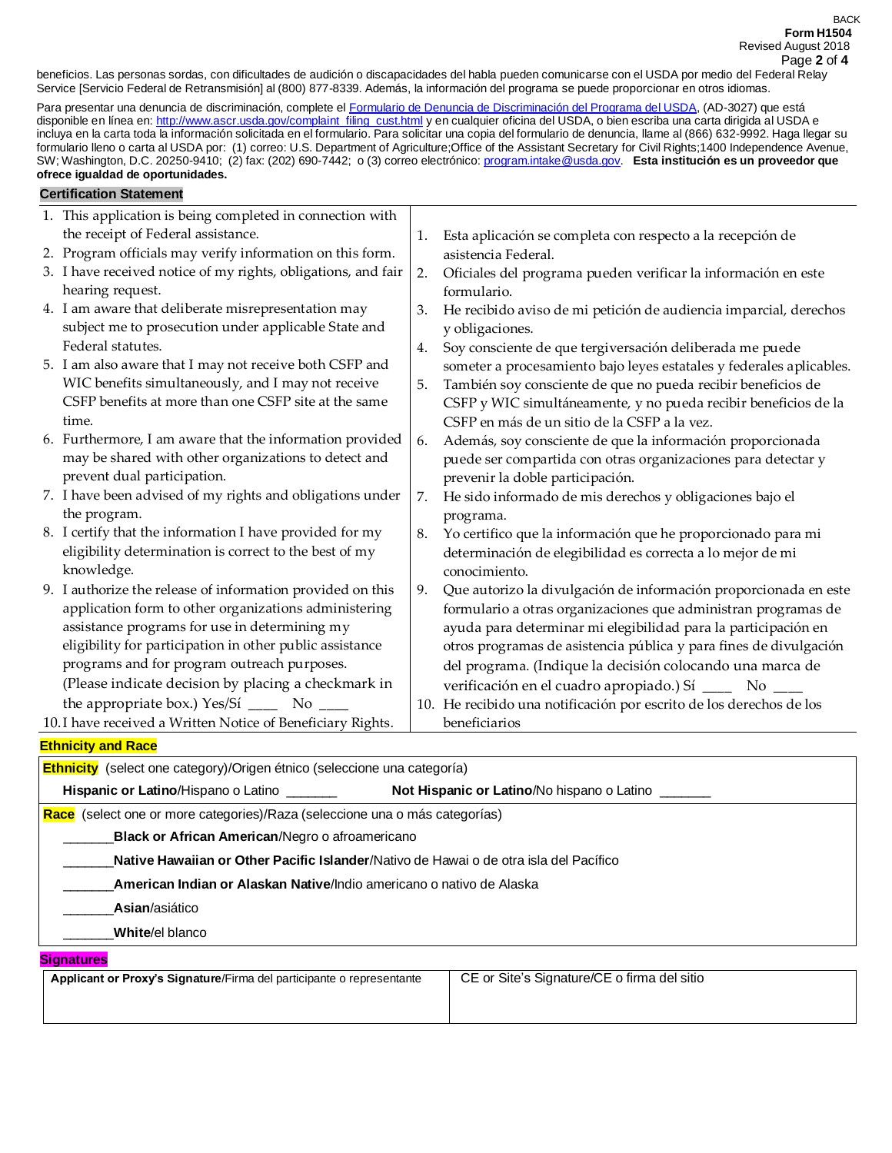beneficios. Las personas sordas, con dificultades de audición o discapacidades del habla pueden comunicarse con el USDA por medio del Federal Relay Service [Servicio Federal de Retransmisión] al (800) 877-8339. Además, la información del programa se puede proporcionar en otros idiomas.

Para presentar una denuncia de discriminación, complete el [Formulario de Denuncia de Discriminación del Programa del USDA,](http://www.ocio.usda.gov/sites/default/files/docs/2012/Complain_combined_6_8_12.pdf) (AD-3027) que está disponible en línea en: [http://www.ascr.usda.gov/complaint\\_filing\\_cust.html](http://www.ascr.usda.gov/complaint_filing_cust.html) y en cualquier oficina del USDA, o bien escriba una carta dirigida al USDA e incluya en la carta toda la información solicitada en el formulario. Para solicitar una copia del formulario de denuncia, llame al (866) 632-9992. Haga llegar su formulario lleno o carta al USDA por: (1) correo: U.S. Department of Agriculture;Office of the Assistant Secretary for Civil Rights;1400 Independence Avenue, SW; Washington, D.C. 20250-9410; (2) fax: (202) 690-7442; o (3) correo electrónico[: program.intake@usda.gov.](mailto:program.intake@usda.gov) **Esta institución es un proveedor que ofrece igualdad de oportunidades.**

## **Certification Statement**

| 1. This application is being completed in connection with     |    |                                                                      |
|---------------------------------------------------------------|----|----------------------------------------------------------------------|
| the receipt of Federal assistance.                            | 1. | Esta aplicación se completa con respecto a la recepción de           |
| 2. Program officials may verify information on this form.     |    | asistencia Federal.                                                  |
| 3. I have received notice of my rights, obligations, and fair | 2. | Oficiales del programa pueden verificar la información en este       |
| hearing request.                                              |    | formulario.                                                          |
| 4. I am aware that deliberate misrepresentation may           | 3. | He recibido aviso de mi petición de audiencia imparcial, derechos    |
| subject me to prosecution under applicable State and          |    | y obligaciones.                                                      |
| Federal statutes.                                             | 4. | Soy consciente de que tergiversación deliberada me puede             |
| 5. I am also aware that I may not receive both CSFP and       |    | someter a procesamiento bajo leyes estatales y federales aplicables. |
| WIC benefits simultaneously, and I may not receive            | 5. | También soy consciente de que no pueda recibir beneficios de         |
| CSFP benefits at more than one CSFP site at the same          |    | CSFP y WIC simultáneamente, y no pueda recibir beneficios de la      |
| time.                                                         |    | CSFP en más de un sitio de la CSFP a la vez.                         |
| 6. Furthermore, I am aware that the information provided      | 6. | Además, soy consciente de que la información proporcionada           |
| may be shared with other organizations to detect and          |    | puede ser compartida con otras organizaciones para detectar y        |
| prevent dual participation.                                   |    | prevenir la doble participación.                                     |
| 7. I have been advised of my rights and obligations under     | 7. | He sido informado de mis derechos y obligaciones bajo el             |
| the program.                                                  |    | programa.                                                            |
| 8. I certify that the information I have provided for my      | 8. | Yo certifico que la información que he proporcionado para mi         |
| eligibility determination is correct to the best of my        |    | determinación de elegibilidad es correcta a lo mejor de mi           |
| knowledge.                                                    |    | conocimiento.                                                        |
| 9. I authorize the release of information provided on this    | 9. | Que autorizo la divulgación de información proporcionada en este     |
| application form to other organizations administering         |    | formulario a otras organizaciones que administran programas de       |
| assistance programs for use in determining my                 |    | ayuda para determinar mi elegibilidad para la participación en       |
| eligibility for participation in other public assistance      |    | otros programas de asistencia pública y para fines de divulgación    |
| programs and for program outreach purposes.                   |    | del programa. (Indique la decisión colocando una marca de            |
| (Please indicate decision by placing a checkmark in           |    | verificación en el cuadro apropiado.) Sí _______ No ____             |
| the appropriate box.) Yes/Si $\frac{\ }{2}$ No $\frac{\ }{2}$ |    | 10. He recibido una notificación por escrito de los derechos de los  |
| 10. I have received a Written Notice of Beneficiary Rights.   |    | beneficiarios                                                        |

#### **Ethnicity and Race**

| <b>Ethnicity</b> (select one category)/Origen étnico (seleccione una categoría)       |                                                   |  |  |  |  |
|---------------------------------------------------------------------------------------|---------------------------------------------------|--|--|--|--|
| <b>Hispanic or Latino/Hispano o Latino</b>                                            | <b>Not Hispanic or Latino/No hispano o Latino</b> |  |  |  |  |
| Race (select one or more categories)/Raza (seleccione una o más categorías)           |                                                   |  |  |  |  |
| <b>Black or African American/Negro o afroamericano</b>                                |                                                   |  |  |  |  |
| Native Hawaiian or Other Pacific Islander/Nativo de Hawai o de otra isla del Pacífico |                                                   |  |  |  |  |
| American Indian or Alaskan Native/Indio americano o nativo de Alaska                  |                                                   |  |  |  |  |
| Asian/asiático                                                                        |                                                   |  |  |  |  |
| White/el blanco                                                                       |                                                   |  |  |  |  |
| <b>Signatures</b>                                                                     |                                                   |  |  |  |  |
| Applicant or Proxy's Signature/Firma del participante o representante                 | CE or Site's Signature/CE o firma del sitio       |  |  |  |  |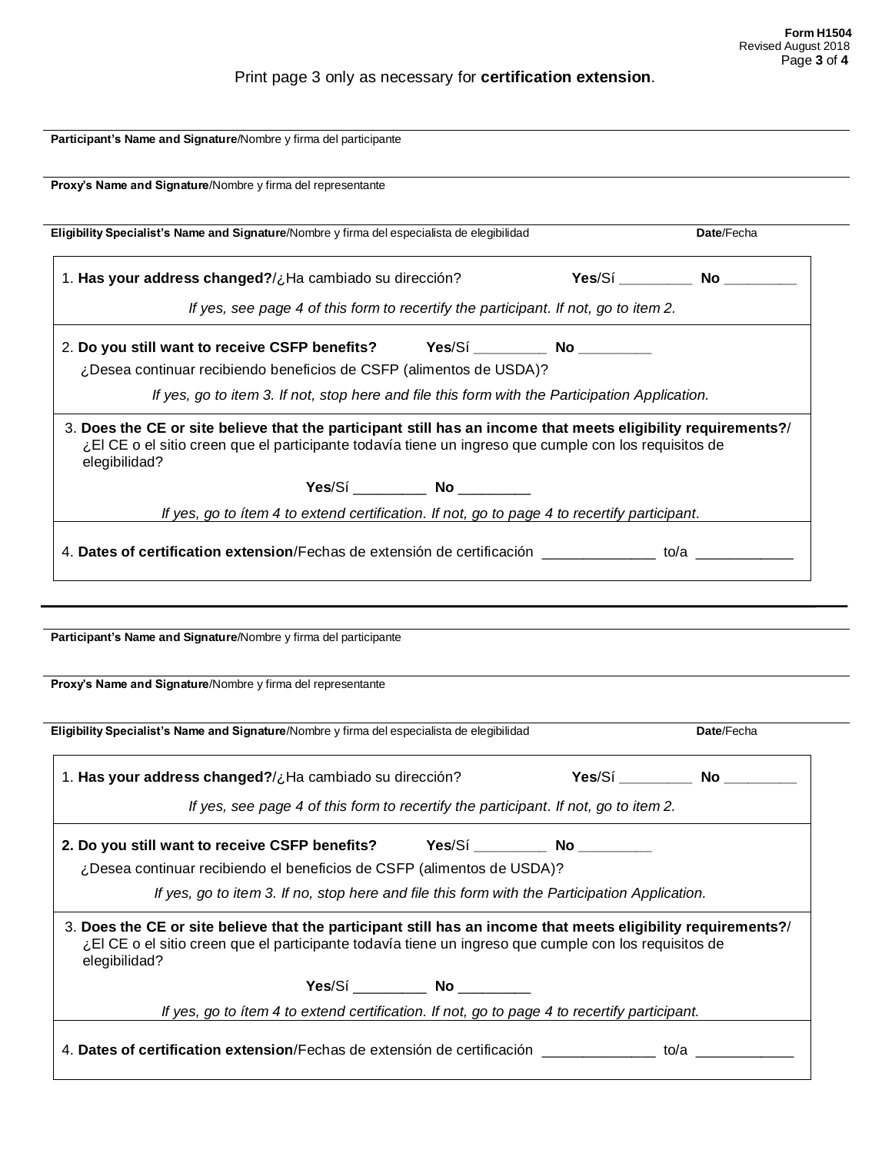# Print page 3 only as necessary for **certification extension**.

| Proxy's Name and Signature/Nombre y firma del representante                                                                                                                                                                             |                          |
|-----------------------------------------------------------------------------------------------------------------------------------------------------------------------------------------------------------------------------------------|--------------------------|
| Eligibility Specialist's Name and Signature/Nombre y firma del especialista de elegibilidad                                                                                                                                             | Date/Fecha               |
| 1. Has your address changed?/¿Ha cambiado su dirección?                                                                                                                                                                                 | Yes/Sí No                |
| If yes, see page 4 of this form to recertify the participant. If not, go to item 2.                                                                                                                                                     |                          |
| 2. Do you still want to receive CSFP benefits? Yes/Sí _________ No _________                                                                                                                                                            |                          |
| ¿Desea continuar recibiendo beneficios de CSFP (alimentos de USDA)?                                                                                                                                                                     |                          |
| If yes, go to item 3. If not, stop here and file this form with the Participation Application.                                                                                                                                          |                          |
| 3. Does the CE or site believe that the participant still has an income that meets eligibility requirements?/<br>¿El CE o el sitio creen que el participante todavía tiene un ingreso que cumple con los requisitos de<br>elegibilidad? |                          |
| Yes/Sí __________ No ________                                                                                                                                                                                                           |                          |
| If yes, go to item 4 to extend certification. If not, go to page 4 to recertify participant.                                                                                                                                            |                          |
| 4. Dates of certification extension/Fechas de extensión de certificación ______________ to/a ____________                                                                                                                               |                          |
|                                                                                                                                                                                                                                         |                          |
|                                                                                                                                                                                                                                         |                          |
| Participant's Name and Signature/Nombre y firma del participante<br>Proxy's Name and Signature/Nombre y firma del representante                                                                                                         |                          |
| Eligibility Specialist's Name and Signature/Nombre y firma del especialista de elegibilidad                                                                                                                                             | Date/Fecha               |
|                                                                                                                                                                                                                                         |                          |
|                                                                                                                                                                                                                                         | Yes/Sí _________ No ____ |
| 1. Has your address changed?/¿Ha cambiado su dirección?<br>If yes, see page 4 of this form to recertify the participant. If not, go to item 2.                                                                                          |                          |
| 2. Do you still want to receive CSFP benefits? Yes/Si ___________ No ___________                                                                                                                                                        |                          |
| ¿Desea continuar recibiendo el beneficios de CSFP (alimentos de USDA)?                                                                                                                                                                  |                          |
| If yes, go to item 3. If no, stop here and file this form with the Participation Application.                                                                                                                                           |                          |
| 3. Does the CE or site believe that the participant still has an income that meets eligibility requirements?/<br>¿El CE o el sitio creen que el participante todavía tiene un ingreso que cumple con los requisitos de<br>elegibilidad? |                          |
| Yes/Sí __________ No ________                                                                                                                                                                                                           |                          |
| If yes, go to ítem 4 to extend certification. If not, go to page 4 to recertify participant.                                                                                                                                            |                          |
| 4. Dates of certification extension/Fechas de extensión de certificación ______________ to/a _____________                                                                                                                              |                          |